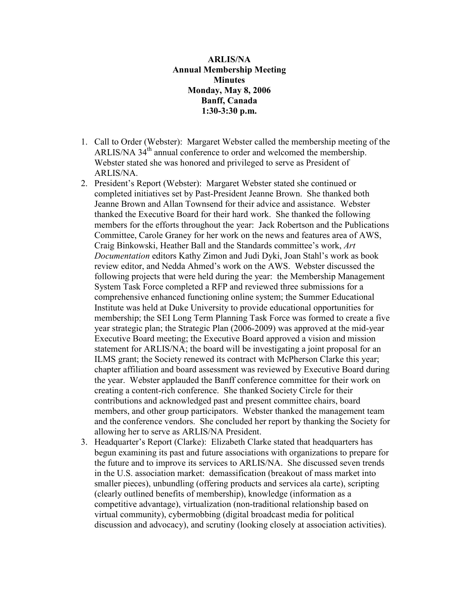## ARLIS/NA Annual Membership Meeting **Minutes** Monday, May 8, 2006 Banff, Canada 1:30-3:30 p.m.

- 1. Call to Order (Webster): Margaret Webster called the membership meeting of the ARLIS/NA 34<sup>th</sup> annual conference to order and welcomed the membership. Webster stated she was honored and privileged to serve as President of ARLIS/NA.
- 2. President's Report (Webster): Margaret Webster stated she continued or completed initiatives set by Past-President Jeanne Brown. She thanked both Jeanne Brown and Allan Townsend for their advice and assistance. Webster thanked the Executive Board for their hard work. She thanked the following members for the efforts throughout the year: Jack Robertson and the Publications Committee, Carole Graney for her work on the news and features area of AWS, Craig Binkowski, Heather Ball and the Standards committee's work, Art Documentation editors Kathy Zimon and Judi Dyki, Joan Stahl's work as book review editor, and Nedda Ahmed's work on the AWS. Webster discussed the following projects that were held during the year: the Membership Management System Task Force completed a RFP and reviewed three submissions for a comprehensive enhanced functioning online system; the Summer Educational Institute was held at Duke University to provide educational opportunities for membership; the SEI Long Term Planning Task Force was formed to create a five year strategic plan; the Strategic Plan (2006-2009) was approved at the mid-year Executive Board meeting; the Executive Board approved a vision and mission statement for ARLIS/NA; the board will be investigating a joint proposal for an ILMS grant; the Society renewed its contract with McPherson Clarke this year; chapter affiliation and board assessment was reviewed by Executive Board during the year. Webster applauded the Banff conference committee for their work on creating a content-rich conference. She thanked Society Circle for their contributions and acknowledged past and present committee chairs, board members, and other group participators. Webster thanked the management team and the conference vendors. She concluded her report by thanking the Society for allowing her to serve as ARLIS/NA President.
- 3. Headquarter's Report (Clarke): Elizabeth Clarke stated that headquarters has begun examining its past and future associations with organizations to prepare for the future and to improve its services to ARLIS/NA. She discussed seven trends in the U.S. association market: demassification (breakout of mass market into smaller pieces), unbundling (offering products and services ala carte), scripting (clearly outlined benefits of membership), knowledge (information as a competitive advantage), virtualization (non-traditional relationship based on virtual community), cybermobbing (digital broadcast media for political discussion and advocacy), and scrutiny (looking closely at association activities).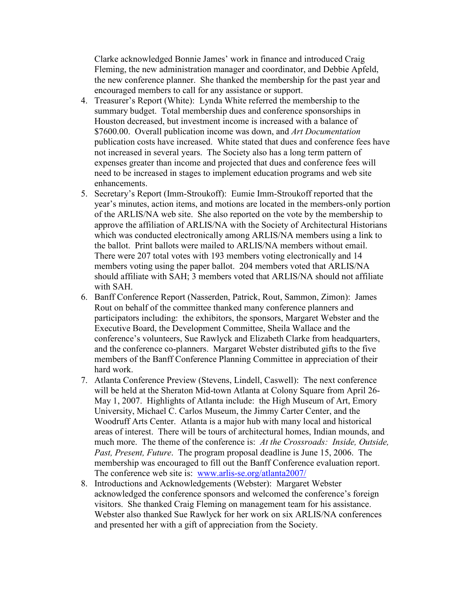Clarke acknowledged Bonnie James' work in finance and introduced Craig Fleming, the new administration manager and coordinator, and Debbie Apfeld, the new conference planner. She thanked the membership for the past year and encouraged members to call for any assistance or support.

- 4. Treasurer's Report (White): Lynda White referred the membership to the summary budget. Total membership dues and conference sponsorships in Houston decreased, but investment income is increased with a balance of \$7600.00. Overall publication income was down, and Art Documentation publication costs have increased. White stated that dues and conference fees have not increased in several years. The Society also has a long term pattern of expenses greater than income and projected that dues and conference fees will need to be increased in stages to implement education programs and web site enhancements.
- 5. Secretary's Report (Imm-Stroukoff): Eumie Imm-Stroukoff reported that the year's minutes, action items, and motions are located in the members-only portion of the ARLIS/NA web site. She also reported on the vote by the membership to approve the affiliation of ARLIS/NA with the Society of Architectural Historians which was conducted electronically among ARLIS/NA members using a link to the ballot. Print ballots were mailed to ARLIS/NA members without email. There were 207 total votes with 193 members voting electronically and 14 members voting using the paper ballot. 204 members voted that ARLIS/NA should affiliate with SAH; 3 members voted that ARLIS/NA should not affiliate with SAH.
- 6. Banff Conference Report (Nasserden, Patrick, Rout, Sammon, Zimon): James Rout on behalf of the committee thanked many conference planners and participators including: the exhibitors, the sponsors, Margaret Webster and the Executive Board, the Development Committee, Sheila Wallace and the conference's volunteers, Sue Rawlyck and Elizabeth Clarke from headquarters, and the conference co-planners. Margaret Webster distributed gifts to the five members of the Banff Conference Planning Committee in appreciation of their hard work.
- 7. Atlanta Conference Preview (Stevens, Lindell, Caswell): The next conference will be held at the Sheraton Mid-town Atlanta at Colony Square from April 26- May 1, 2007. Highlights of Atlanta include: the High Museum of Art, Emory University, Michael C. Carlos Museum, the Jimmy Carter Center, and the Woodruff Arts Center. Atlanta is a major hub with many local and historical areas of interest. There will be tours of architectural homes, Indian mounds, and much more. The theme of the conference is: At the Crossroads: Inside, Outside, Past, Present, Future. The program proposal deadline is June 15, 2006. The membership was encouraged to fill out the Banff Conference evaluation report. The conference web site is: www.arlis-se.org/atlanta2007/
- 8. Introductions and Acknowledgements (Webster): Margaret Webster acknowledged the conference sponsors and welcomed the conference's foreign visitors. She thanked Craig Fleming on management team for his assistance. Webster also thanked Sue Rawlyck for her work on six ARLIS/NA conferences and presented her with a gift of appreciation from the Society.